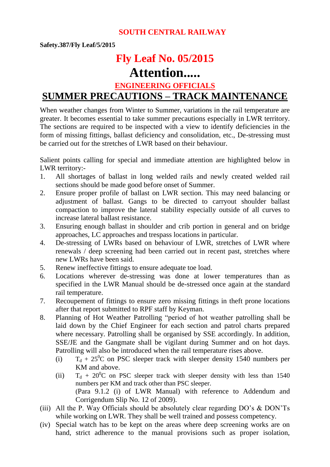### **SOUTH CENTRAL RAILWAY**

**Safety.387/Fly Leaf/5/2015**

# **Fly Leaf No. 05/2015**

## **Attention.....**

**ENGINEERING OFFICIALS** 

## **SUMMER PRECAUTIONS – TRACK MAINTENANCE**

When weather changes from Winter to Summer, variations in the rail temperature are greater. It becomes essential to take summer precautions especially in LWR territory. The sections are required to be inspected with a view to identify deficiencies in the form of missing fittings, ballast deficiency and consolidation, etc., De-stressing must be carried out for the stretches of LWR based on their behaviour.

Salient points calling for special and immediate attention are highlighted below in LWR territory:-

- 1. All shortages of ballast in long welded rails and newly created welded rail sections should be made good before onset of Summer.
- 2. Ensure proper profile of ballast on LWR section. This may need balancing or adjustment of ballast. Gangs to be directed to carryout shoulder ballast compaction to improve the lateral stability especially outside of all curves to increase lateral ballast resistance.
- 3. Ensuring enough ballast in shoulder and crib portion in general and on bridge approaches, LC approaches and trespass locations in particular.
- 4. De-stressing of LWRs based on behaviour of LWR, stretches of LWR where renewals / deep screening had been carried out in recent past, stretches where new LWRs have been said.
- 5. Renew ineffective fittings to ensure adequate toe load.
- 6. Locations wherever de-stressing was done at lower temperatures than as specified in the LWR Manual should be de-stressed once again at the standard rail temperature.
- 7. Recoupement of fittings to ensure zero missing fittings in theft prone locations after that report submitted to RPF staff by Keyman.
- 8. Planning of Hot Weather Patrolling "period of hot weather patrolling shall be laid down by the Chief Engineer for each section and patrol charts prepared where necessary. Patrolling shall be organised by SSE accordingly. In addition, SSE/JE and the Gangmate shall be vigilant during Summer and on hot days. Patrolling will also be introduced when the rail temperature rises above.
	- (i)  $T_d + 25^0C$  on PSC sleeper track with sleeper density 1540 numbers per KM and above.
	- (ii)  $T_d + 20^0C$  on PSC sleeper track with sleeper density with less than 1540 numbers per KM and track other than PSC sleeper. (Para 9.1.2 (i) of LWR Manual) with reference to Addendum and Corrigendum Slip No. 12 of 2009).
- (iii) All the P. Way Officials should be absolutely clear regarding DO's & DON'Ts while working on LWR. They shall be well trained and possess competency.
- (iv) Special watch has to be kept on the areas where deep screening works are on hand, strict adherence to the manual provisions such as proper isolation,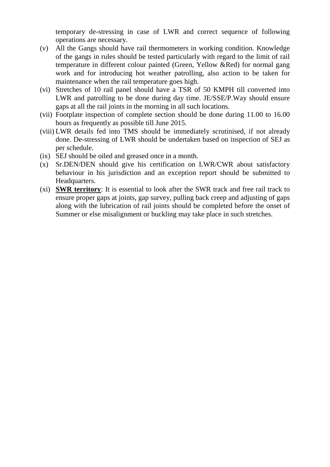temporary de-stressing in case of LWR and correct sequence of following operations are necessary.

- (v) All the Gangs should have rail thermometers in working condition. Knowledge of the gangs in rules should be tested particularly with regard to the limit of rail temperature in different colour painted (Green, Yellow &Red) for normal gang work and for introducing hot weather patrolling, also action to be taken for maintenance when the rail temperature goes high.
- (vi) Stretches of 10 rail panel should have a TSR of 50 KMPH till converted into LWR and patrolling to be done during day time. JE/SSE/P.Way should ensure gaps at all the rail joints in the morning in all such locations.
- (vii) Footplate inspection of complete section should be done during 11.00 to 16.00 hours as frequently as possible till June 2015.
- (viii) LWR details fed into TMS should be immediately scrutinised, if not already done. De-stressing of LWR should be undertaken based on inspection of SEJ as per schedule.
- (ix) SEJ should be oiled and greased once in a month.
- (x) Sr.DEN/DEN should give his certification on LWR/CWR about satisfactory behaviour in his jurisdiction and an exception report should be submitted to Headquarters.
- (xi) **SWR territory**: It is essential to look after the SWR track and free rail track to ensure proper gaps at joints, gap survey, pulling back creep and adjusting of gaps along with the lubrication of rail joints should be completed before the onset of Summer or else misalignment or buckling may take place in such stretches.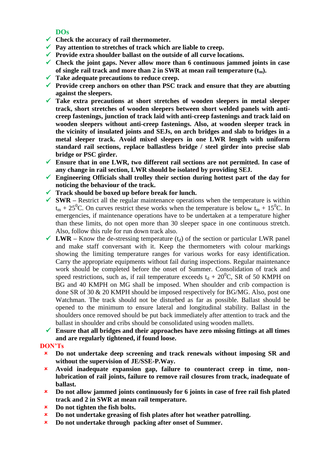### **DOs**

- **Check the accuracy of rail thermometer.**
- **Pay attention to stretches of track which are liable to creep.**
- **Provide extra shoulder ballast on the outside of all curve locations.**
- **Check the joint gaps. Never allow more than 6 continuous jammed joints in case of single rail track and more than 2 in SWR at mean rail temperature (tm).**
- **Take adequate precautions to reduce creep.**
- **Provide creep anchors on other than PSC track and ensure that they are abutting against the sleepers.**
- **Take extra precautions at short stretches of wooden sleepers in metal sleeper track, short stretches of wooden sleepers between short welded panels with anticreep fastenings, junction of track laid with anti-creep fastenings and track laid on wooden sleepers without anti-creep fastenings. Also, at wooden sleeper track in the vicinity of insulated joints and SEJs, on arch bridges and slab to bridges in a metal sleeper track. Avoid mixed sleepers in one LWR length with uniform standard rail sections, replace ballastless bridge / steel girder into precise slab bridge or PSC girder.**
- **Ensure that in one LWR, two different rail sections are not permitted. In case of any change in rail section, LWR should be isolated by providing SEJ.**
- **Engineering Officials shall trolley their section during hottest part of the day for noticing the behaviour of the track.**
- **Track should be boxed up before break for lunch.**
- $\checkmark$  **SWR** Restrict all the regular maintenance operations when the temperature is within  $t_m + 25^0C$ . On curves restrict these works when the temperature is below  $t_m + 15^0C$ . In emergencies, if maintenance operations have to be undertaken at a temperature higher than these limits, do not open more than 30 sleeper space in one continuous stretch. Also, follow this rule for run down track also.
- $\checkmark$  LWR Know the de-stressing temperature (t<sub>d</sub>) of the section or particular LWR panel and make staff conversant with it. Keep the thermometers with colour markings showing the limiting temperature ranges for various works for easy identification. Carry the appropriate equipments without fail during inspections. Regular maintenance work should be completed before the onset of Summer. Consolidation of track and speed restrictions, such as, if rail temperature exceeds  $t_d + 20^0C$ , SR of 50 KMPH on BG and 40 KMPH on MG shall be imposed. When shoulder and crib compaction is done SR of 30 & 20 KMPH should be imposed respectively for BG/MG. Also, post one Watchman. The track should not be disturbed as far as possible. Ballast should be opened to the minimum to ensure lateral and longitudinal stability. Ballast in the shoulders once removed should be put back immediately after attention to track and the ballast in shoulder and cribs should be consolidated using wooden mallets.
- **Ensure that all bridges and their approaches have zero missing fittings at all times and are regularly tightened, if found loose.**

#### **DON'Ts**

- **Do not undertake deep screening and track renewals without imposing SR and without the supervision of JE/SSE-P.Way.**
- **Avoid inadequate expansion gap, failure to counteract creep in time, nonlubrication of rail joints, failure to remove rail closures from track, inadequate of ballast.**
- **Do not allow jammed joints continuously for 6 joints in case of free rail fish plated track and 2 in SWR at mean rail temperature.**
- **Do not tighten the fish bolts.**
- **Do not undertake greasing of fish plates after hot weather patrolling.**
- **Do not undertake through packing after onset of Summer.**